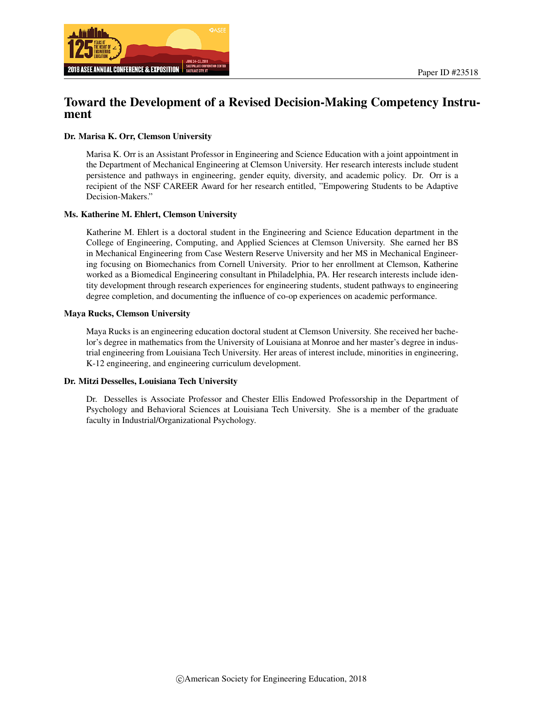

## Toward the Development of a Revised Decision-Making Competency Instrument

#### Dr. Marisa K. Orr, Clemson University

Marisa K. Orr is an Assistant Professor in Engineering and Science Education with a joint appointment in the Department of Mechanical Engineering at Clemson University. Her research interests include student persistence and pathways in engineering, gender equity, diversity, and academic policy. Dr. Orr is a recipient of the NSF CAREER Award for her research entitled, "Empowering Students to be Adaptive Decision-Makers."

#### Ms. Katherine M. Ehlert, Clemson University

Katherine M. Ehlert is a doctoral student in the Engineering and Science Education department in the College of Engineering, Computing, and Applied Sciences at Clemson University. She earned her BS in Mechanical Engineering from Case Western Reserve University and her MS in Mechanical Engineering focusing on Biomechanics from Cornell University. Prior to her enrollment at Clemson, Katherine worked as a Biomedical Engineering consultant in Philadelphia, PA. Her research interests include identity development through research experiences for engineering students, student pathways to engineering degree completion, and documenting the influence of co-op experiences on academic performance.

#### Maya Rucks, Clemson University

Maya Rucks is an engineering education doctoral student at Clemson University. She received her bachelor's degree in mathematics from the University of Louisiana at Monroe and her master's degree in industrial engineering from Louisiana Tech University. Her areas of interest include, minorities in engineering, K-12 engineering, and engineering curriculum development.

#### Dr. Mitzi Desselles, Louisiana Tech University

Dr. Desselles is Associate Professor and Chester Ellis Endowed Professorship in the Department of Psychology and Behavioral Sciences at Louisiana Tech University. She is a member of the graduate faculty in Industrial/Organizational Psychology.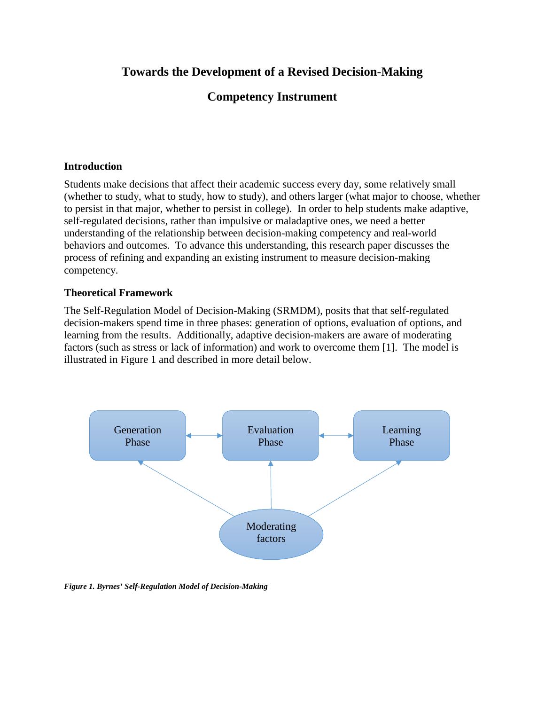# **Towards the Development of a Revised Decision-Making**

# **Competency Instrument**

### **Introduction**

Students make decisions that affect their academic success every day, some relatively small (whether to study, what to study, how to study), and others larger (what major to choose, whether to persist in that major, whether to persist in college). In order to help students make adaptive, self-regulated decisions, rather than impulsive or maladaptive ones, we need a better understanding of the relationship between decision-making competency and real-world behaviors and outcomes. To advance this understanding, this research paper discusses the process of refining and expanding an existing instrument to measure decision-making competency.

### **Theoretical Framework**

The Self-Regulation Model of Decision-Making (SRMDM), posits that that self-regulated decision-makers spend time in three phases: generation of options, evaluation of options, and learning from the results. Additionally, adaptive decision-makers are aware of moderating factors (such as stress or lack of information) and work to overcome them [1]. The model is illustrated in Figure 1 and described in more detail below.



*Figure 1. Byrnes' Self-Regulation Model of Decision-Making*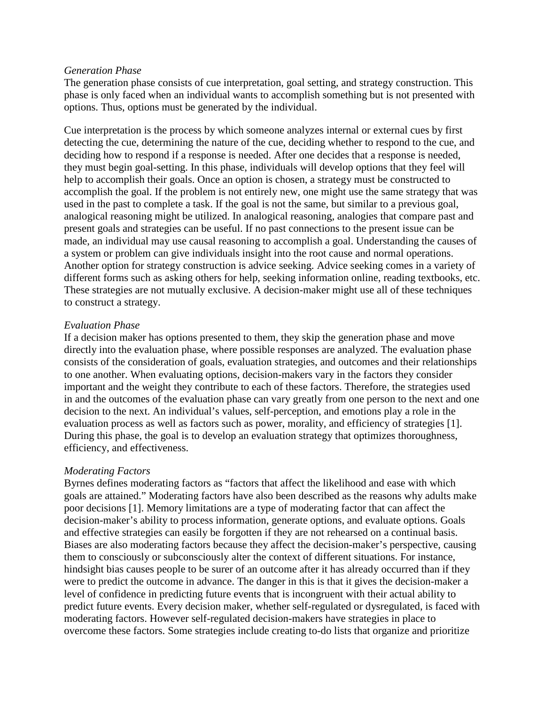### *Generation Phase*

The generation phase consists of cue interpretation, goal setting, and strategy construction. This phase is only faced when an individual wants to accomplish something but is not presented with options. Thus, options must be generated by the individual.

Cue interpretation is the process by which someone analyzes internal or external cues by first detecting the cue, determining the nature of the cue, deciding whether to respond to the cue, and deciding how to respond if a response is needed. After one decides that a response is needed, they must begin goal-setting. In this phase, individuals will develop options that they feel will help to accomplish their goals. Once an option is chosen, a strategy must be constructed to accomplish the goal. If the problem is not entirely new, one might use the same strategy that was used in the past to complete a task. If the goal is not the same, but similar to a previous goal, analogical reasoning might be utilized. In analogical reasoning, analogies that compare past and present goals and strategies can be useful. If no past connections to the present issue can be made, an individual may use causal reasoning to accomplish a goal. Understanding the causes of a system or problem can give individuals insight into the root cause and normal operations. Another option for strategy construction is advice seeking. Advice seeking comes in a variety of different forms such as asking others for help, seeking information online, reading textbooks, etc. These strategies are not mutually exclusive. A decision-maker might use all of these techniques to construct a strategy.

### *Evaluation Phase*

If a decision maker has options presented to them, they skip the generation phase and move directly into the evaluation phase, where possible responses are analyzed. The evaluation phase consists of the consideration of goals, evaluation strategies, and outcomes and their relationships to one another. When evaluating options, decision-makers vary in the factors they consider important and the weight they contribute to each of these factors. Therefore, the strategies used in and the outcomes of the evaluation phase can vary greatly from one person to the next and one decision to the next. An individual's values, self-perception, and emotions play a role in the evaluation process as well as factors such as power, morality, and efficiency of strategies [1]. During this phase, the goal is to develop an evaluation strategy that optimizes thoroughness, efficiency, and effectiveness.

### *Moderating Factors*

Byrnes defines moderating factors as "factors that affect the likelihood and ease with which goals are attained." Moderating factors have also been described as the reasons why adults make poor decisions [1]. Memory limitations are a type of moderating factor that can affect the decision-maker's ability to process information, generate options, and evaluate options. Goals and effective strategies can easily be forgotten if they are not rehearsed on a continual basis. Biases are also moderating factors because they affect the decision-maker's perspective, causing them to consciously or subconsciously alter the context of different situations. For instance, hindsight bias causes people to be surer of an outcome after it has already occurred than if they were to predict the outcome in advance. The danger in this is that it gives the decision-maker a level of confidence in predicting future events that is incongruent with their actual ability to predict future events. Every decision maker, whether self-regulated or dysregulated, is faced with moderating factors. However self-regulated decision-makers have strategies in place to overcome these factors. Some strategies include creating to-do lists that organize and prioritize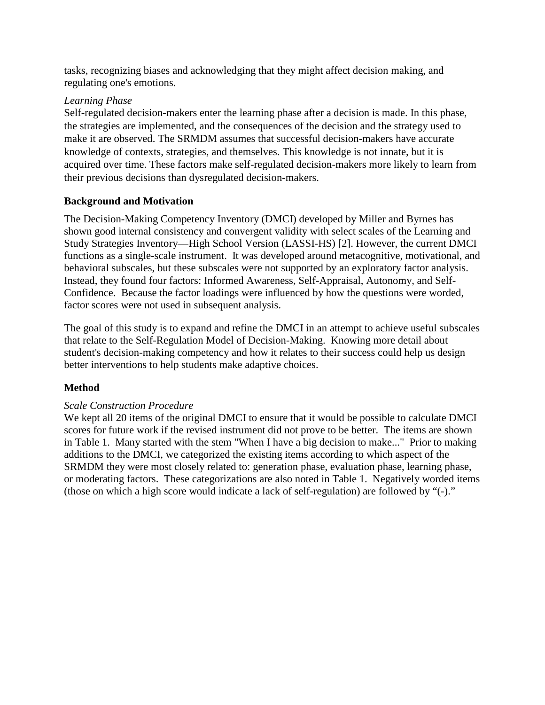tasks, recognizing biases and acknowledging that they might affect decision making, and regulating one's emotions.

## *Learning Phase*

Self-regulated decision-makers enter the learning phase after a decision is made. In this phase, the strategies are implemented, and the consequences of the decision and the strategy used to make it are observed. The SRMDM assumes that successful decision-makers have accurate knowledge of contexts, strategies, and themselves. This knowledge is not innate, but it is acquired over time. These factors make self-regulated decision-makers more likely to learn from their previous decisions than dysregulated decision-makers.

## **Background and Motivation**

The Decision-Making Competency Inventory (DMCI) developed by Miller and Byrnes has shown good internal consistency and convergent validity with select scales of the Learning and Study Strategies Inventory—High School Version (LASSI-HS) [2]. However, the current DMCI functions as a single-scale instrument. It was developed around metacognitive, motivational, and behavioral subscales, but these subscales were not supported by an exploratory factor analysis. Instead, they found four factors: Informed Awareness, Self-Appraisal, Autonomy, and Self-Confidence. Because the factor loadings were influenced by how the questions were worded, factor scores were not used in subsequent analysis.

The goal of this study is to expand and refine the DMCI in an attempt to achieve useful subscales that relate to the Self-Regulation Model of Decision-Making. Knowing more detail about student's decision-making competency and how it relates to their success could help us design better interventions to help students make adaptive choices.

## **Method**

## *Scale Construction Procedure*

We kept all 20 items of the original DMCI to ensure that it would be possible to calculate DMCI scores for future work if the revised instrument did not prove to be better. The items are shown in Table 1. Many started with the stem "When I have a big decision to make..." Prior to making additions to the DMCI, we categorized the existing items according to which aspect of the SRMDM they were most closely related to: generation phase, evaluation phase, learning phase, or moderating factors. These categorizations are also noted in Table 1. Negatively worded items (those on which a high score would indicate a lack of self-regulation) are followed by "(-)."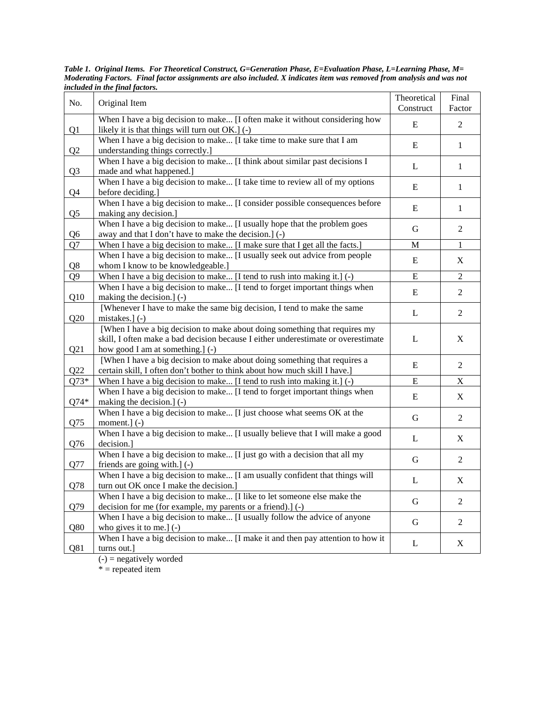| No.                              | Original Item                                                                                                                                                                                       | Theoretical<br>Construct | Final<br>Factor           |
|----------------------------------|-----------------------------------------------------------------------------------------------------------------------------------------------------------------------------------------------------|--------------------------|---------------------------|
|                                  | When I have a big decision to make [I often make it without considering how                                                                                                                         | $\bf E$                  | $\overline{c}$            |
| Q <sub>1</sub><br>Q <sub>2</sub> | likely it is that things will turn out OK.] (-)<br>When I have a big decision to make [I take time to make sure that I am<br>understanding things correctly.]                                       | E                        | $\mathbf{1}$              |
| Q <sub>3</sub>                   | When I have a big decision to make [I think about similar past decisions I<br>made and what happened.]                                                                                              | L                        | $\mathbf{1}$              |
| Q4                               | When I have a big decision to make [I take time to review all of my options<br>before deciding.]                                                                                                    | E                        | $\mathbf{1}$              |
| Q <sub>5</sub>                   | When I have a big decision to make [I consider possible consequences before<br>making any decision.]                                                                                                | E                        | $\mathbf{1}$              |
| Q <sub>6</sub>                   | When I have a big decision to make [I usually hope that the problem goes<br>away and that I don't have to make the decision.] (-)                                                                   | G                        | $\overline{c}$            |
| Q7                               | When I have a big decision to make [I make sure that I get all the facts.]                                                                                                                          | M                        | $\mathbf{1}$              |
| Q8                               | When I have a big decision to make [I usually seek out advice from people<br>whom I know to be knowledgeable.]                                                                                      | E                        | X                         |
| Q <sub>9</sub>                   | When I have a big decision to make [I tend to rush into making it.] (-)                                                                                                                             | ${\bf E}$                | $\overline{2}$            |
| Q10                              | When I have a big decision to make [I tend to forget important things when<br>making the decision.] (-)                                                                                             | $\bf E$                  | $\sqrt{2}$                |
| Q20                              | [Whenever I have to make the same big decision, I tend to make the same<br>mistakes.] $(-)$                                                                                                         | L                        | $\sqrt{2}$                |
| Q21                              | [When I have a big decision to make about doing something that requires my<br>skill, I often make a bad decision because I either underestimate or overestimate<br>how good I am at something.] (-) | L                        | X                         |
| Q22                              | [When I have a big decision to make about doing something that requires a<br>certain skill, I often don't bother to think about how much skill I have.]                                             | E                        | $\overline{c}$            |
| $Q73*$                           | When I have a big decision to make [I tend to rush into making it.] $(-)$                                                                                                                           | $\bf E$                  | $\mathbf X$               |
| $Q74*$                           | When I have a big decision to make [I tend to forget important things when<br>making the decision.] (-)                                                                                             | $\bf E$                  | $\boldsymbol{\mathrm{X}}$ |
| Q75                              | When I have a big decision to make [I just choose what seems OK at the<br>moment.] (-)                                                                                                              | G                        | $\sqrt{2}$                |
| Q76                              | When I have a big decision to make [I usually believe that I will make a good<br>decision.]                                                                                                         | L                        | $\boldsymbol{\mathrm{X}}$ |
| Q77                              | When I have a big decision to make [I just go with a decision that all my<br>friends are going with.] (-)                                                                                           | G                        | $\overline{c}$            |
| Q78                              | When I have a big decision to make [I am usually confident that things will<br>turn out OK once I make the decision.]                                                                               | $\mathbf L$              | X                         |
| Q79                              | When I have a big decision to make [I like to let someone else make the<br>decision for me (for example, my parents or a friend).] (-)                                                              | G                        | 2                         |
| Q80                              | When I have a big decision to make [I usually follow the advice of anyone<br>who gives it to me.] $(-)$                                                                                             | G                        | 2                         |
| Q81                              | When I have a big decision to make [I make it and then pay attention to how it<br>turns out.]                                                                                                       | L                        | X                         |

*Table 1. Original Items. For Theoretical Construct, G=Generation Phase, E=Evaluation Phase, L=Learning Phase, M= Moderating Factors. Final factor assignments are also included. X indicates item was removed from analysis and was not included in the final factors.* 

 $(-)$  = negatively worded

\* = repeated item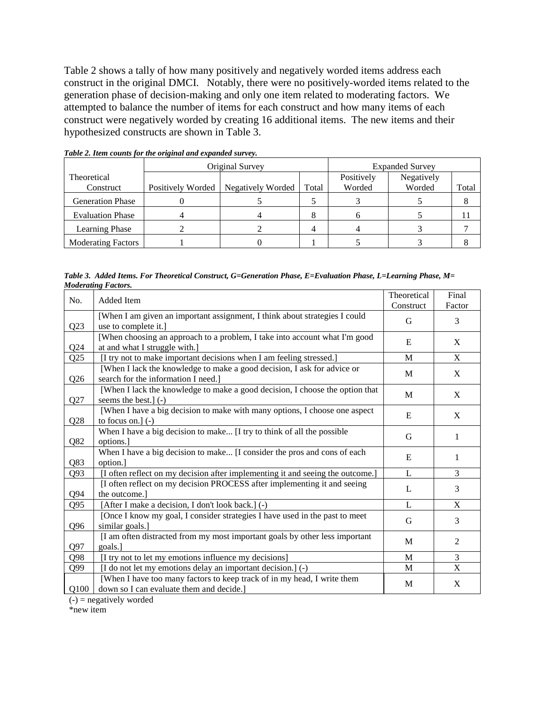Table 2 shows a tally of how many positively and negatively worded items address each construct in the original DMCI. Notably, there were no positively-worded items related to the generation phase of decision-making and only one item related to moderating factors. We attempted to balance the number of items for each construct and how many items of each construct were negatively worded by creating 16 additional items. The new items and their hypothesized constructs are shown in Table 3.

|                           |                   | Original Survey   | <b>Expanded Survey</b> |            |            |       |
|---------------------------|-------------------|-------------------|------------------------|------------|------------|-------|
| Theoretical               |                   |                   |                        | Positively | Negatively |       |
| Construct                 | Positively Worded | Negatively Worded | Total                  | Worded     | Worded     | Total |
| <b>Generation Phase</b>   |                   |                   |                        |            |            |       |
| <b>Evaluation Phase</b>   |                   |                   |                        |            |            |       |
| <b>Learning Phase</b>     |                   |                   |                        |            |            |       |
| <b>Moderating Factors</b> |                   |                   |                        |            |            |       |

*Table 2. Item counts for the original and expanded survey.*

*Table 3. Added Items. For Theoretical Construct, G=Generation Phase, E=Evaluation Phase, L=Learning Phase, M= Moderating Factors.*

| No.             | Added Item                                                                                                          | Theoretical | Final       |
|-----------------|---------------------------------------------------------------------------------------------------------------------|-------------|-------------|
|                 |                                                                                                                     | Construct   | Factor      |
| Q23             | [When I am given an important assignment, I think about strategies I could<br>use to complete it.]                  | G           | 3           |
| Q24             | [When choosing an approach to a problem, I take into account what I'm good<br>at and what I struggle with.]         | E           | X           |
| Q25             | [I try not to make important decisions when I am feeling stressed.]                                                 | M           | $\mathbf X$ |
| Q26             | [When I lack the knowledge to make a good decision, I ask for advice or<br>search for the information I need.       | M           | X           |
| Q27             | [When I lack the knowledge to make a good decision, I choose the option that<br>seems the best.] (-)                | M           | X           |
| Q28             | [When I have a big decision to make with many options, I choose one aspect<br>to focus on.] $(-)$                   | E           | X           |
| Q82             | When I have a big decision to make [I try to think of all the possible<br>options.                                  | G           | 1           |
| Q83             | When I have a big decision to make [I consider the pros and cons of each<br>option.                                 | E           | 1           |
| Q93             | [I often reflect on my decision after implementing it and seeing the outcome.]                                      | L           | 3           |
| Q94             | [I often reflect on my decision PROCESS after implementing it and seeing<br>the outcome.                            | L           | 3           |
| Q95             | [After I make a decision, I don't look back.] (-)                                                                   | L           | X           |
| Q <sub>96</sub> | [Once I know my goal, I consider strategies I have used in the past to meet<br>similar goals.]                      | G           | 3           |
| Q97             | [I am often distracted from my most important goals by other less important<br>goals.]                              | M           | 2           |
| Q98             | [I try not to let my emotions influence my decisions]                                                               | M           | 3           |
| Q99             | [I do not let my emotions delay an important decision.] (-)                                                         | M           | X           |
| Q100            | [When I have too many factors to keep track of in my head, I write them<br>down so I can evaluate them and decide.] | M           | X           |

 $(-)$  = negatively worded

\*new item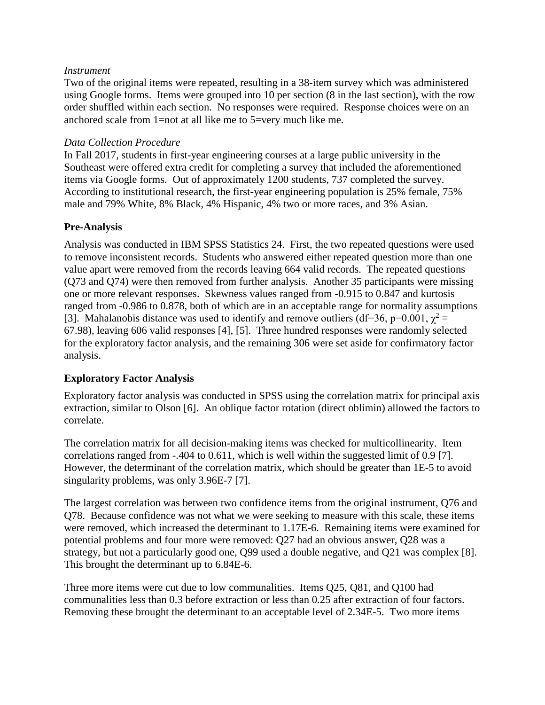### *Instrument*

Two of the original items were repeated, resulting in a 38-item survey which was administered using Google forms. Items were grouped into 10 per section (8 in the last section), with the row order shuffled within each section. No responses were required. Response choices were on an anchored scale from 1=not at all like me to 5=very much like me.

### *Data Collection Procedure*

In Fall 2017, students in first-year engineering courses at a large public university in the Southeast were offered extra credit for completing a survey that included the aforementioned items via Google forms. Out of approximately 1200 students, 737 completed the survey. According to institutional research, the first-year engineering population is 25% female, 75% male and 79% White, 8% Black, 4% Hispanic, 4% two or more races, and 3% Asian.

## **Pre-Analysis**

Analysis was conducted in IBM SPSS Statistics 24. First, the two repeated questions were used to remove inconsistent records. Students who answered either repeated question more than one value apart were removed from the records leaving 664 valid records. The repeated questions (Q73 and Q74) were then removed from further analysis. Another 35 participants were missing one or more relevant responses. Skewness values ranged from -0.915 to 0.847 and kurtosis ranged from -0.986 to 0.878, both of which are in an acceptable range for normality assumptions [3]. Mahalanobis distance was used to identify and remove outliers (df=36, p=0.001,  $\chi^2$  = 67.98), leaving 606 valid responses [4], [5]. Three hundred responses were randomly selected for the exploratory factor analysis, and the remaining 306 were set aside for confirmatory factor analysis.

## **Exploratory Factor Analysis**

Exploratory factor analysis was conducted in SPSS using the correlation matrix for principal axis extraction, similar to Olson [6]. An oblique factor rotation (direct oblimin) allowed the factors to correlate.

The correlation matrix for all decision-making items was checked for multicollinearity. Item correlations ranged from -.404 to 0.611, which is well within the suggested limit of 0.9 [7]. However, the determinant of the correlation matrix, which should be greater than 1E-5 to avoid singularity problems, was only 3.96E-7 [7].

The largest correlation was between two confidence items from the original instrument, Q76 and Q78. Because confidence was not what we were seeking to measure with this scale, these items were removed, which increased the determinant to 1.17E-6. Remaining items were examined for potential problems and four more were removed: Q27 had an obvious answer, Q28 was a strategy, but not a particularly good one, Q99 used a double negative, and Q21 was complex [8]. This brought the determinant up to 6.84E-6.

Three more items were cut due to low communalities. Items Q25, Q81, and Q100 had communalities less than 0.3 before extraction or less than 0.25 after extraction of four factors. Removing these brought the determinant to an acceptable level of 2.34E-5. Two more items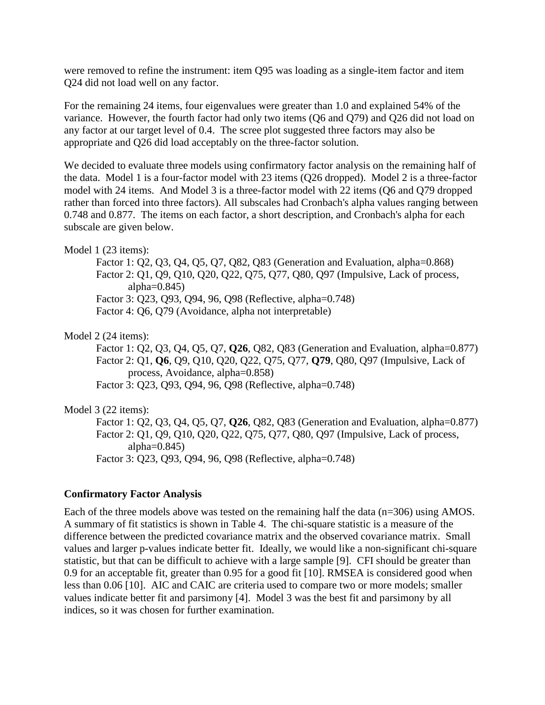were removed to refine the instrument: item Q95 was loading as a single-item factor and item Q24 did not load well on any factor.

For the remaining 24 items, four eigenvalues were greater than 1.0 and explained 54% of the variance. However, the fourth factor had only two items (Q6 and Q79) and Q26 did not load on any factor at our target level of 0.4. The scree plot suggested three factors may also be appropriate and Q26 did load acceptably on the three-factor solution.

We decided to evaluate three models using confirmatory factor analysis on the remaining half of the data. Model 1 is a four-factor model with 23 items (Q26 dropped). Model 2 is a three-factor model with 24 items. And Model 3 is a three-factor model with 22 items (Q6 and Q79 dropped rather than forced into three factors). All subscales had Cronbach's alpha values ranging between 0.748 and 0.877. The items on each factor, a short description, and Cronbach's alpha for each subscale are given below.

### Model 1 (23 items):

Factor 1: Q2, Q3, Q4, Q5, Q7, Q82, Q83 (Generation and Evaluation, alpha=0.868) Factor 2: Q1, Q9, Q10, Q20, Q22, Q75, Q77, Q80, Q97 (Impulsive, Lack of process, alpha= $0.845$ ) Factor 3: Q23, Q93, Q94, 96, Q98 (Reflective, alpha=0.748) Factor 4: Q6, Q79 (Avoidance, alpha not interpretable)

### Model 2 (24 items):

Factor 1: Q2, Q3, Q4, Q5, Q7, **Q26**, Q82, Q83 (Generation and Evaluation, alpha=0.877) Factor 2: Q1, **Q6**, Q9, Q10, Q20, Q22, Q75, Q77, **Q79**, Q80, Q97 (Impulsive, Lack of process, Avoidance, alpha=0.858) Factor 3: Q23, Q93, Q94, 96, Q98 (Reflective, alpha=0.748)

### Model 3 (22 items):

Factor 1: Q2, Q3, Q4, Q5, Q7, **Q26**, Q82, Q83 (Generation and Evaluation, alpha=0.877) Factor 2: Q1, Q9, Q10, Q20, Q22, Q75, Q77, Q80, Q97 (Impulsive, Lack of process, alpha= $0.845$ ) Factor 3: Q23, Q93, Q94, 96, Q98 (Reflective, alpha=0.748)

### **Confirmatory Factor Analysis**

Each of the three models above was tested on the remaining half the data (n=306) using AMOS. A summary of fit statistics is shown in Table 4. The chi-square statistic is a measure of the difference between the predicted covariance matrix and the observed covariance matrix. Small values and larger p-values indicate better fit. Ideally, we would like a non-significant chi-square statistic, but that can be difficult to achieve with a large sample [9]. CFI should be greater than 0.9 for an acceptable fit, greater than 0.95 for a good fit [10]. RMSEA is considered good when less than 0.06 [10]. AIC and CAIC are criteria used to compare two or more models; smaller values indicate better fit and parsimony [4]. Model 3 was the best fit and parsimony by all indices, so it was chosen for further examination.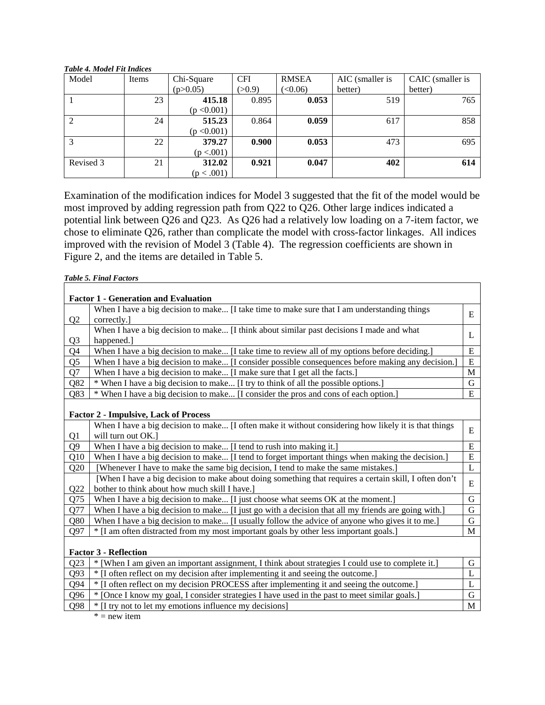#### *Table 4. Model Fit Indices*

| Model          | Items | Chi-Square  | <b>CFI</b> | <b>RMSEA</b> | AIC (smaller is | CAIC (smaller is |
|----------------|-------|-------------|------------|--------------|-----------------|------------------|
|                |       | (p>0.05)    | (>0.9)     | (<0.06)      | better)         | better)          |
|                | 23    | 415.18      | 0.895      | 0.053        | 519             | 765              |
|                |       | (p < 0.001) |            |              |                 |                  |
| $\overline{2}$ | 24    | 515.23      | 0.864      | 0.059        | 617             | 858              |
|                |       | (p < 0.001) |            |              |                 |                  |
| 3              | 22    | 379.27      | 0.900      | 0.053        | 473             | 695              |
|                |       | (p < .001)  |            |              |                 |                  |
| Revised 3      | 21    | 312.02      | 0.921      | 0.047        | 402             | 614              |
|                |       | (p < .001)  |            |              |                 |                  |

Examination of the modification indices for Model 3 suggested that the fit of the model would be most improved by adding regression path from Q22 to Q26. Other large indices indicated a potential link between Q26 and Q23. As Q26 had a relatively low loading on a 7-item factor, we chose to eliminate Q26, rather than complicate the model with cross-factor linkages. All indices improved with the revision of Model 3 (Table 4). The regression coefficients are shown in Figure 2, and the items are detailed in Table 5.

*Table 5. Final Factors*

|                | <b>Factor 1 - Generation and Evaluation</b>                                                            |              |
|----------------|--------------------------------------------------------------------------------------------------------|--------------|
|                | When I have a big decision to make [I take time to make sure that I am understanding things            | E            |
| Q <sub>2</sub> | correctly.]                                                                                            |              |
|                | When I have a big decision to make [I think about similar past decisions I made and what               |              |
| Q <sub>3</sub> | happened.]                                                                                             | L            |
| Q4             | When I have a big decision to make [I take time to review all of my options before deciding.]          | E            |
| Q <sub>5</sub> | When I have a big decision to make [I consider possible consequences before making any decision.]      | E            |
| Q7             | When I have a big decision to make [I make sure that I get all the facts.]                             | M            |
| Q82            | * When I have a big decision to make [I try to think of all the possible options.]                     | G            |
| Q83            | * When I have a big decision to make [I consider the pros and cons of each option.]                    | E            |
|                | <b>Factor 2 - Impulsive, Lack of Process</b>                                                           |              |
|                | When I have a big decision to make [I often make it without considering how likely it is that things   |              |
| Q1             | will turn out OK.]                                                                                     | E            |
| Q <sub>9</sub> | When I have a big decision to make [I tend to rush into making it.]                                    | E            |
| Q10            | When I have a big decision to make [I tend to forget important things when making the decision.]       | E            |
| Q20            | [Whenever I have to make the same big decision, I tend to make the same mistakes.]                     | $\mathbf{L}$ |
|                | [When I have a big decision to make about doing something that requires a certain skill, I often don't |              |
| Q22            | bother to think about how much skill I have.]                                                          | E            |
| Q75            | When I have a big decision to make [I just choose what seems OK at the moment.]                        | G            |
| Q77            | When I have a big decision to make [I just go with a decision that all my friends are going with.]     | G            |
| Q80            | When I have a big decision to make [I usually follow the advice of anyone who gives it to me.]         | G            |
| Q97            | * [I am often distracted from my most important goals by other less important goals.]                  | M            |
|                |                                                                                                        |              |
|                | <b>Factor 3 - Reflection</b>                                                                           |              |
| Q23            | [When I am given an important assignment, I think about strategies I could use to complete it.]        | G            |
| Q93            | * [I often reflect on my decision after implementing it and seeing the outcome.]                       | L            |
| Q94            | * [I often reflect on my decision PROCESS after implementing it and seeing the outcome.]               | L            |
| Q96            | * [Once I know my goal, I consider strategies I have used in the past to meet similar goals.]          | G            |
| Q98            | * If try not to let my emotions influence my decisions]                                                | M            |

 $* = new item$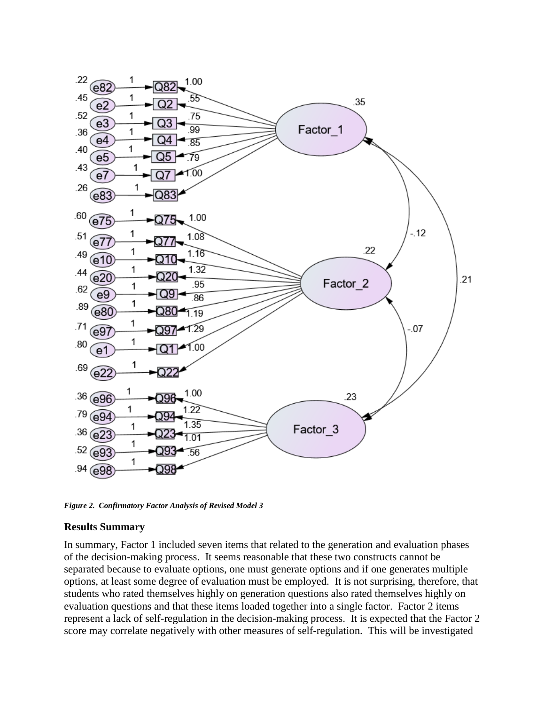

*Figure 2. Confirmatory Factor Analysis of Revised Model 3*

#### **Results Summary**

In summary, Factor 1 included seven items that related to the generation and evaluation phases of the decision-making process. It seems reasonable that these two constructs cannot be separated because to evaluate options, one must generate options and if one generates multiple options, at least some degree of evaluation must be employed. It is not surprising, therefore, that students who rated themselves highly on generation questions also rated themselves highly on evaluation questions and that these items loaded together into a single factor. Factor 2 items represent a lack of self-regulation in the decision-making process. It is expected that the Factor 2 score may correlate negatively with other measures of self-regulation. This will be investigated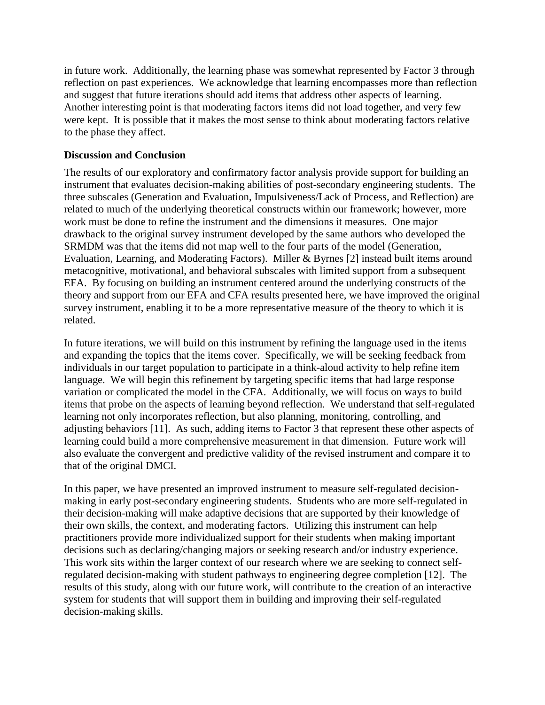in future work. Additionally, the learning phase was somewhat represented by Factor 3 through reflection on past experiences. We acknowledge that learning encompasses more than reflection and suggest that future iterations should add items that address other aspects of learning. Another interesting point is that moderating factors items did not load together, and very few were kept. It is possible that it makes the most sense to think about moderating factors relative to the phase they affect.

### **Discussion and Conclusion**

The results of our exploratory and confirmatory factor analysis provide support for building an instrument that evaluates decision-making abilities of post-secondary engineering students. The three subscales (Generation and Evaluation, Impulsiveness/Lack of Process, and Reflection) are related to much of the underlying theoretical constructs within our framework; however, more work must be done to refine the instrument and the dimensions it measures. One major drawback to the original survey instrument developed by the same authors who developed the SRMDM was that the items did not map well to the four parts of the model (Generation, Evaluation, Learning, and Moderating Factors). Miller & Byrnes [2] instead built items around metacognitive, motivational, and behavioral subscales with limited support from a subsequent EFA. By focusing on building an instrument centered around the underlying constructs of the theory and support from our EFA and CFA results presented here, we have improved the original survey instrument, enabling it to be a more representative measure of the theory to which it is related.

In future iterations, we will build on this instrument by refining the language used in the items and expanding the topics that the items cover. Specifically, we will be seeking feedback from individuals in our target population to participate in a think-aloud activity to help refine item language. We will begin this refinement by targeting specific items that had large response variation or complicated the model in the CFA. Additionally, we will focus on ways to build items that probe on the aspects of learning beyond reflection. We understand that self-regulated learning not only incorporates reflection, but also planning, monitoring, controlling, and adjusting behaviors [11]. As such, adding items to Factor 3 that represent these other aspects of learning could build a more comprehensive measurement in that dimension. Future work will also evaluate the convergent and predictive validity of the revised instrument and compare it to that of the original DMCI.

In this paper, we have presented an improved instrument to measure self-regulated decisionmaking in early post-secondary engineering students. Students who are more self-regulated in their decision-making will make adaptive decisions that are supported by their knowledge of their own skills, the context, and moderating factors. Utilizing this instrument can help practitioners provide more individualized support for their students when making important decisions such as declaring/changing majors or seeking research and/or industry experience. This work sits within the larger context of our research where we are seeking to connect selfregulated decision-making with student pathways to engineering degree completion [12]. The results of this study, along with our future work, will contribute to the creation of an interactive system for students that will support them in building and improving their self-regulated decision-making skills.